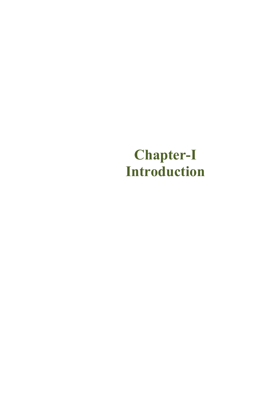# **Chapter-I Introduction**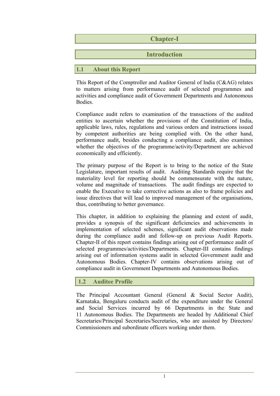|     |                          | <b>Chapter-I</b>    |
|-----|--------------------------|---------------------|
|     |                          | <b>Introduction</b> |
|     |                          |                     |
| 1.1 | <b>About this Report</b> |                     |

This Report of the Comptroller and Auditor General of India (C&AG) relates to matters arising from performance audit of selected programmes and activities and compliance audit of Government Departments and Autonomous **Bodies** 

Compliance audit refers to examination of the transactions of the audited entities to ascertain whether the provisions of the Constitution of India, applicable laws, rules, regulations and various orders and instructions issued by competent authorities are being complied with. On the other hand, performance audit, besides conducting a compliance audit, also examines whether the objectives of the programme/activity/Department are achieved economically and efficiently.

The primary purpose of the Report is to bring to the notice of the State Legislature, important results of audit. Auditing Standards require that the materiality level for reporting should be commensurate with the nature, volume and magnitude of transactions. The audit findings are expected to enable the Executive to take corrective actions as also to frame policies and issue directives that will lead to improved management of the organisations, thus, contributing to better governance.

This chapter, in addition to explaining the planning and extent of audit, provides a synopsis of the significant deficiencies and achievements in implementation of selected schemes, significant audit observations made during the compliance audit and follow-up on previous Audit Reports. Chapter-II of this report contains findings arising out of performance audit of selected programmes/activities/Departments. Chapter-III contains findings arising out of information systems audit in selected Government audit and Autonomous Bodies. Chapter-IV contains observations arising out of compliance audit in Government Departments and Autonomous Bodies.

# **1.2 Auditee Profile**

The Principal Accountant General (General & Social Sector Audit), Karnataka, Bengaluru conducts audit of the expenditure under the General and Social Services incurred by 66 Departments in the State and 11 Autonomous Bodies. The Departments are headed by Additional Chief Secretaries/Principal Secretaries/Secretaries, who are assisted by Directors/ Commissioners and subordinate officers working under them.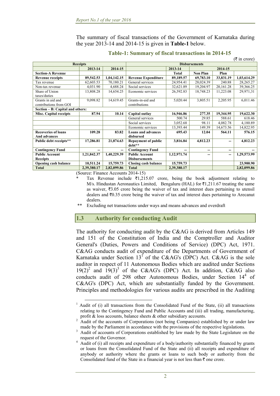The summary of fiscal transactions of the Government of Karnataka during the year 2013-14 and 2014-15 is given in **Table-1** below.

|                                  |             |             |                             |             |                 |           | $(\bar{\tau}$ in crore) |  |  |
|----------------------------------|-------------|-------------|-----------------------------|-------------|-----------------|-----------|-------------------------|--|--|
| <b>Receipts</b>                  |             |             | <b>Disbursements</b>        |             |                 |           |                         |  |  |
| 2013-14                          |             | 2014-15     |                             | 2013-14     | 2014-15         |           |                         |  |  |
| <b>Section-A Revenue</b>         |             |             |                             | Total       | <b>Non Plan</b> | Plan      |                         |  |  |
| <b>Revenue receipts</b>          | 89,542.53   | 1,04,142.15 | <b>Revenue Expenditure</b>  | 89,189.57   | 69,783.10       | 33,831.19 | 1,03,614.29             |  |  |
| Tax revenue                      | 62,603.53   | 70,180.21   | General services            | 24,954.41   | 28,024.39       | 240.88    | 28,265.27               |  |  |
| Non-tax revenue                  | 4,031.90    | 4,688.24    | Social services             | 32,621.89   | 19,204.97       | 20,161.28 | 39,366.25               |  |  |
| Share of Union                   | 13,808.28   | 14,654.25   | Economic services           | 26,592.83   | 18,748.23       | 11,223.08 | 29,971,31               |  |  |
| taxes/duties                     |             |             |                             |             |                 |           |                         |  |  |
| Grants in aid and                | 9,098.82    | 14,619.45   | Grants-in-aid and           | 5,020.44    | 3,805.51        | 2,205.95  | 6,011.46                |  |  |
| contributions from GOI           |             |             | contributions               |             |                 |           |                         |  |  |
| Section – B: Capital and others: |             |             |                             |             |                 |           |                         |  |  |
| <b>Misc. Capital receipts</b>    | 87.94       | 10.14       | Capital outlay              | 16,946.86   | 277.35          | 19,344.95 | 19,622.30               |  |  |
|                                  |             |             | General services            | 500.74      | 29.85           | 588.61    | 618.46                  |  |  |
|                                  |             |             | Social services             | 3,052.68    | 98.11           | 4,082.78  | 4,180.89                |  |  |
|                                  |             |             | Economic services           | 13,393.44   | 149.39          | 14,673.56 | 14,822.95               |  |  |
| <b>Recoveries of loans</b>       | 109.28      | 83.82       | <b>Loans and advances</b>   | 695.43      | 12.04           | 564.11    | 576.15                  |  |  |
| And advances                     |             |             | disbursed                   |             |                 |           |                         |  |  |
| Public debt receipts**           | 17,286.81   | 21,874.63   | <b>Repayment of public</b>  | 3,816.84    | 4,812.23        | --        | 4,812.23                |  |  |
|                                  |             |             | debt**                      |             |                 |           |                         |  |  |
| <b>Contingency Fund</b>          | --          | --          | <b>Contingency Fund</b>     |             | --              | --        |                         |  |  |
| <b>Public Account</b>            | 1,21,842.37 | 1,40,229.39 | <b>Public Account</b>       | 1,12,971.74 | --              | --        | 1,29,573.99             |  |  |
| <b>Receipts</b>                  |             |             | <b>Disbursements</b>        |             |                 |           |                         |  |  |
| <b>Opening cash balance</b>      | 10,511.24   | 15,759.73   | <b>Closing cash balance</b> | 15,759.73   |                 |           | 23,900.90               |  |  |
| <b>Total</b>                     | 2,39,380.17 | 2,82,099.86 | Total                       | 2,39,380.17 |                 |           | 2,82,099.86             |  |  |

#### **Table-1: Summary of fiscal transactions in 2014-15**

(Source: Finance Accounts 2014-15)

Tax Revenue include  $\bar{\epsilon}$ 1,215.07 crore, being the book adjustment relating to M/s. Hindustan Aeronautics Limited, Bengaluru (HAL) for  $\bar{\tau}1,211.67$  treating the same as waiver,  $\overline{\tau}3.05$  crore being the waiver of tax and interest dues pertaining to utensil dealers and  $\overline{3}0.35$  crore being the waiver of tax and interest dues pertaining to Arecanut dealers.

\*\* Excluding net transactions under ways and means advances and overdraft

#### **1.3 Authority for conducting Audit**

The authority for conducting audit by the C&AG is derived from Articles 149 and 151 of the Constitution of India and the Comptroller and Auditor General's (Duties, Powers and Conditions of Service) (DPC) Act, 1971. C&AG conducts audit of expenditure of the Departments of Government of Karnataka under Section  $13^{\circ}$  of the C&AG's (DPC) Act. C&AG is the sole auditor in respect of 11 Autonomous Bodies which are audited under Sections  $19(2)^2$  and  $19(3)^3$  of the C&AG's (DPC) Act. In addition, C&AG also conducts audit of 298 other Autonomous Bodies, under Section 14<sup>4</sup> of C&AG's (DPC) Act, which are substantially funded by the Government. Principles and methodologies for various audits are prescribed in the Auditing

<sup>&</sup>lt;sup>1</sup> Audit of (i) all transactions from the Consolidated Fund of the State, (ii) all transactions relating to the Contingency Fund and Public Accounts and (iii) all trading, manufacturing, profit  $\&$  loss accounts, balance sheets  $\&$  other subsidiary accounts.

Audit of the accounts of Corporations (not being Companies) established by or under law made by the Parliament in accordance with the provisions of the respective legislations.

Audit of accounts of Corporations established by law made by the State Legislature on the request of the Governor. 4

Audit of (i) all receipts and expenditure of a body/authority substantially financed by grants or loans from the Consolidated Fund of the State and (ii) all receipts and expenditure of anybody or authority where the grants or loans to such body or authority from the Consolidated fund of the State in a financial year is not less than  $\bar{\tau}$  one crore.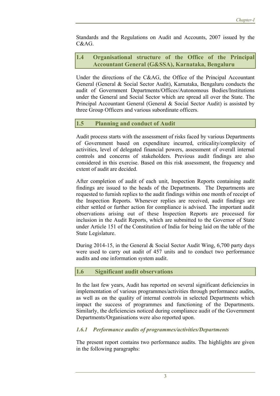Standards and the Regulations on Audit and Accounts, 2007 issued by the C&AG.

#### **1.4 Organisational structure of the Office of the Principal Accountant General (G&SSA), Karnataka, Bengaluru**

Under the directions of the C&AG, the Office of the Principal Accountant General (General & Social Sector Audit), Karnataka, Bengaluru conducts the audit of Government Departments/Offices/Autonomous Bodies/Institutions under the General and Social Sector which are spread all over the State. The Principal Accountant General (General & Social Sector Audit) is assisted by three Group Officers and various subordinate officers.

## **1.5 Planning and conduct of Audit**

Audit process starts with the assessment of risks faced by various Departments of Government based on expenditure incurred, criticality/complexity of activities, level of delegated financial powers, assessment of overall internal controls and concerns of stakeholders. Previous audit findings are also considered in this exercise. Based on this risk assessment, the frequency and extent of audit are decided.

After completion of audit of each unit, Inspection Reports containing audit findings are issued to the heads of the Departments. The Departments are requested to furnish replies to the audit findings within one month of receipt of the Inspection Reports. Whenever replies are received, audit findings are either settled or further action for compliance is advised. The important audit observations arising out of these Inspection Reports are processed for inclusion in the Audit Reports, which are submitted to the Governor of State under Article 151 of the Constitution of India for being laid on the table of the State Legislature.

During 2014-15, in the General & Social Sector Audit Wing, 6,700 party days were used to carry out audit of 457 units and to conduct two performance audits and one information system audit.

## **1.6 Significant audit observations**

In the last few years, Audit has reported on several significant deficiencies in implementation of various programmes/activities through performance audits, as well as on the quality of internal controls in selected Departments which impact the success of programmes and functioning of the Departments. Similarly, the deficiencies noticed during compliance audit of the Government Departments/Organisations were also reported upon.

## *1.6.1 Performance audits of programmes/activities/Departments*

The present report contains two performance audits. The highlights are given in the following paragraphs: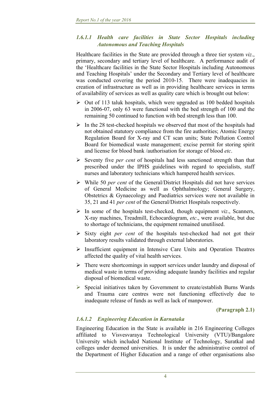## *1.6.1.1 Health care facilities in State Sector Hospitals including Autonomous and Teaching Hospitals*

Healthcare facilities in the State are provided through a three tier system *viz*., primary, secondary and tertiary level of healthcare. A performance audit of the 'Healthcare facilities in the State Sector Hospitals including Autonomous and Teaching Hospitals' under the Secondary and Tertiary level of healthcare was conducted covering the period 2010-15. There were inadequacies in creation of infrastructure as well as in providing healthcare services in terms of availability of services as well as quality care which is brought out below:

- $\triangleright$  Out of 113 taluk hospitals, which were upgraded as 100 bedded hospitals in 2006-07, only 63 were functional with the bed strength of 100 and the remaining 50 continued to function with bed strength less than 100.
- $\triangleright$  In the 28 test-checked hospitals we observed that most of the hospitals had not obtained statutory compliance from the fire authorities; Atomic Energy Regulation Board for X-ray and CT scan units; State Pollution Control Board for biomedical waste management; excise permit for storing spirit and license for blood bank /authorisation for storage of blood *etc*.
- Seventy five *per cent* of hospitals had less sanctioned strength than that prescribed under the IPHS guidelines with regard to specialists, staff nurses and laboratory technicians which hampered health services.
- While 50 *per cent* of the General/District Hospitals did not have services of General Medicine as well as Ophthalmology; General Surgery, Obstetrics & Gynaecology and Paediatrics services were not available in 35, 21 and 41 *per cent* of the General/District Hospitals respectively.
- $\triangleright$  In some of the hospitals test-checked, though equipment *viz*., Scanners, X-ray machines, Treadmill, Echocardiogram, *etc*., were available, but due to shortage of technicians, the equipment remained unutilised.
- Sixty eight *per cent* of the hospitals test-checked had not got their laboratory results validated through external laboratories.
- $\triangleright$  Insufficient equipment in Intensive Care Units and Operation Theatres affected the quality of vital health services.
- $\triangleright$  There were shortcomings in support services under laundry and disposal of medical waste in terms of providing adequate laundry facilities and regular disposal of biomedical waste.
- $\triangleright$  Special initiatives taken by Government to create/establish Burns Wards and Trauma care centres were not functioning effectively due to inadequate release of funds as well as lack of manpower.

**(Paragraph 2.1)** 

# *1.6.1.2 Engineering Education in Karnataka*

Engineering Education in the State is available in 216 Engineering Colleges affiliated to Visvesvaraya Technological University (VTU)/Bangalore University which included National Institute of Technology, Suratkal and colleges under deemed universities. It is under the administrative control of the Department of Higher Education and a range of other organisations also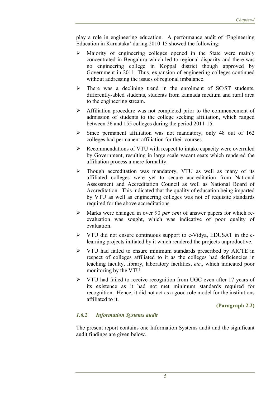play a role in engineering education. A performance audit of 'Engineering Education in Karnataka' during 2010-15 showed the following:

- Majority of engineering colleges opened in the State were mainly concentrated in Bengaluru which led to regional disparity and there was no engineering college in Koppal district though approved by Government in 2011. Thus, expansion of engineering colleges continued without addressing the issues of regional imbalance.
- $\triangleright$  There was a declining trend in the enrolment of SC/ST students, differently-abled students, students from kannada medium and rural area to the engineering stream.
- Affiliation procedure was not completed prior to the commencement of admission of students to the college seeking affiliation, which ranged between 26 and 155 colleges during the period 2011-15.
- $\triangleright$  Since permanent affiliation was not mandatory, only 48 out of 162 colleges had permanent affiliation for their courses.
- $\triangleright$  Recommendations of VTU with respect to intake capacity were overruled by Government, resulting in large scale vacant seats which rendered the affiliation process a mere formality.
- Though accreditation was mandatory, VTU as well as many of its affiliated colleges were yet to secure accreditation from National Assessment and Accreditation Council as well as National Board of Accreditation. This indicated that the quality of education being imparted by VTU as well as engineering colleges was not of requisite standards required for the above accreditations.
- Marks were changed in over 90 *per cent* of answer papers for which reevaluation was sought, which was indicative of poor quality of evaluation.
- VTU did not ensure continuous support to e-Vidya, EDUSAT in the elearning projects initiated by it which rendered the projects unproductive.
- VTU had failed to ensure minimum standards prescribed by AICTE in respect of colleges affiliated to it as the colleges had deficiencies in teaching faculty, library, laboratory facilities, *etc*., which indicated poor monitoring by the VTU.
- $\triangleright$  VTU had failed to receive recognition from UGC even after 17 years of its existence as it had not met minimum standards required for recognition. Hence, it did not act as a good role model for the institutions affiliated to it.

**(Paragraph 2.2)** 

# *1.6.2 Information Systems audit*

The present report contains one Information Systems audit and the significant audit findings are given below.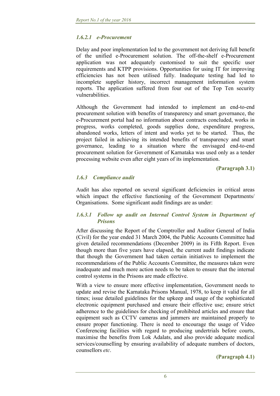## *1.6.2.1 e-Procurement*

Delay and poor implementation led to the government not deriving full benefit of the unified e-Procurement solution. The off-the-shelf e-Procurement application was not adequately customised to suit the specific user requirements and KTPP provisions. Opportunities for using IT for improving efficiencies has not been utilised fully. Inadequate testing had led to incomplete supplier history, incorrect management information system reports. The application suffered from four out of the Top Ten security vulnerabilities.

Although the Government had intended to implement an end-to-end procurement solution with benefits of transparency and smart governance, the e-Procurement portal had no information about contracts concluded, works in progress, works completed, goods supplies done, expenditure progress, abandoned works, letters of intent and works yet to be started. Thus, the project failed in achieving its intended benefits of transparency and smart governance, leading to a situation where the envisaged end-to-end procurement solution for Government of Karnataka was used only as a tender processing website even after eight years of its implementation.

**(Paragraph 3.1)** 

## *1.6.3 Compliance audit*

Audit has also reported on several significant deficiencies in critical areas which impact the effective functioning of the Government Departments/ Organisations. Some significant audit findings are as under:

#### *1.6.3.1 Follow up audit on Internal Control System in Department of Prisons*

After discussing the Report of the Comptroller and Auditor General of India (Civil) for the year ended 31 March 2004, the Public Accounts Committee had given detailed recommendations (December 2009) in its Fifth Report. Even though more than five years have elapsed, the current audit findings indicate that though the Government had taken certain initiatives to implement the recommendations of the Public Accounts Committee, the measures taken were inadequate and much more action needs to be taken to ensure that the internal control systems in the Prisons are made effective.

With a view to ensure more effective implementation, Government needs to update and revise the Karnataka Prisons Manual, 1978, to keep it valid for all times; issue detailed guidelines for the upkeep and usage of the sophisticated electronic equipment purchased and ensure their effective use; ensure strict adherence to the guidelines for checking of prohibited articles and ensure that equipment such as CCTV cameras and jammers are maintained properly to ensure proper functioning. There is need to encourage the usage of Video Conferencing facilities with regard to producing undertrials before courts, maximise the benefits from Lok Adalats, and also provide adequate medical services/counselling by ensuring availability of adequate numbers of doctors, counsellors *etc*.

**(Paragraph 4.1)**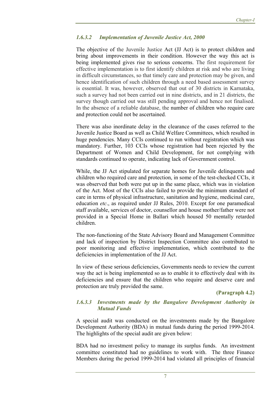## *1.6.3.2 Implementation of Juvenile Justice Act, 2000*

The objective of the Juvenile Justice Act (JJ Act) is to protect children and bring about improvements in their condition. However the way this act is being implemented gives rise to serious concerns. The first requirement for effective implementation is to first identify children at risk and who are living in difficult circumstances, so that timely care and protection may be given, and hence identification of such children through a need based assessment survey is essential. It was, however, observed that out of 30 districts in Karnataka, such a survey had not been carried out in nine districts, and in 21 districts, the survey though carried out was still pending approval and hence not finalised. In the absence of a reliable database, the number of children who require care and protection could not be ascertained.

There was also inordinate delay in the clearance of the cases referred to the Juvenile Justice Board as well as Child Welfare Committees, which resulted in huge pendencies. Many CCIs continued to run without registration which was mandatory. Further, 103 CCIs whose registration had been rejected by the Department of Women and Child Development, for not complying with standards continued to operate, indicating lack of Government control.

While, the JJ Act stipulated for separate homes for Juvenile delinquents and children who required care and protection, in some of the test-checked CCIs, it was observed that both were put up in the same place, which was in violation of the Act. Most of the CCIs also failed to provide the minimum standard of care in terms of physical infrastructure, sanitation and hygiene, medicinal care, education *etc*., as required under JJ Rules, 2010. Except for one paramedical staff available, services of doctor, counsellor and house mother/father were not provided in a Special Home in Ballari which housed 50 mentally retarded children.

The non-functioning of the State Advisory Board and Management Committee and lack of inspection by District Inspection Committee also contributed to poor monitoring and effective implementation, which contributed to the deficiencies in implementation of the JJ Act.

In view of these serious deficiencies, Governments needs to review the current way the act is being implemented so as to enable it to effectively deal with its deficiencies and ensure that the children who require and deserve care and protection are truly provided the same.

**(Paragraph 4.2)** 

#### *1.6.3.3 Investments made by the Bangalore Development Authority in Mutual Funds*

A special audit was conducted on the investments made by the Bangalore Development Authority (BDA) in mutual funds during the period 1999-2014. The highlights of the special audit are given below:

BDA had no investment policy to manage its surplus funds. An investment committee constituted had no guidelines to work with. The three Finance Members during the period 1999-2014 had violated all principles of financial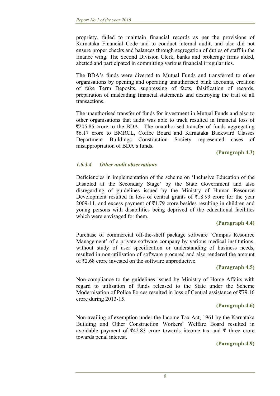propriety, failed to maintain financial records as per the provisions of Karnataka Financial Code and to conduct internal audit, and also did not ensure proper checks and balances through segregation of duties of staff in the finance wing. The Second Division Clerk, banks and brokerage firms aided, abetted and participated in committing various financial irregularities.

The BDA's funds were diverted to Mutual Funds and transferred to other organisations by opening and operating unauthorised bank accounts, creation of fake Term Deposits, suppressing of facts, falsification of records, preparation of misleading financial statements and destroying the trail of all transactions.

The unauthorised transfer of funds for investment in Mutual Funds and also to other organisations that audit was able to track resulted in financial loss of  $\overline{205.85}$  crore to the BDA. The unauthorised transfer of funds aggregating ₹6.17 crore to BMRCL, Coffee Board and Karnataka Backward Classes Department Buildings Construction Society represented cases of misappropriation of BDA's funds.

 **(Paragraph 4.3)** 

# *1.6.3.4 Other audit observations*

Deficiencies in implementation of the scheme on 'Inclusive Education of the Disabled at the Secondary Stage' by the State Government and also disregarding of guidelines issued by the Ministry of Human Resource Development resulted in loss of central grants of  $\bar{\tau}$ 18.93 crore for the year 2009-11, and excess payment of  $\bar{\tau}$ 1.79 crore besides resulting in children and young persons with disabilities being deprived of the educational facilities which were envisaged for them.

## **(Paragraph 4.4)**

Purchase of commercial off-the-shelf package software 'Campus Resource Management' of a private software company by various medical institutions, without study of user specification or understanding of business needs, resulted in non-utilisation of software procured and also rendered the amount of  $\bar{\mathcal{F}}2.68$  crore invested on the software unproductive.

## **(Paragraph 4.5)**

Non-compliance to the guidelines issued by Ministry of Home Affairs with regard to utilisation of funds released to the State under the Scheme Modernisation of Police Forces resulted in loss of Central assistance of  $\overline{579.16}$ crore during 2013-15.

## **(Paragraph 4.6)**

Non-availing of exemption under the Income Tax Act, 1961 by the Karnataka Building and Other Construction Workers' Welfare Board resulted in avoidable payment of  $\overline{542.83}$  crore towards income tax and  $\overline{5}$  three crore towards penal interest.

**(Paragraph 4.9)**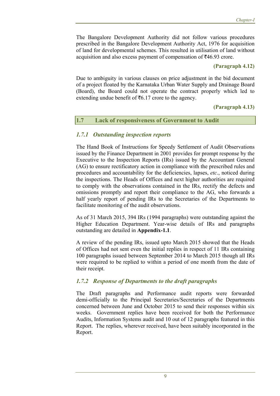The Bangalore Development Authority did not follow various procedures prescribed in the Bangalore Development Authority Act, 1976 for acquisition of land for developmental schemes. This resulted in utilisation of land without acquisition and also excess payment of compensation of  $\overline{546.93}$  crore.

#### **(Paragraph 4.12)**

Due to ambiguity in various clauses on price adjustment in the bid document of a project floated by the Karnataka Urban Water Supply and Drainage Board (Board), the Board could not operate the contract properly which led to extending undue benefit of  $\bar{\tau}$ 6.17 crore to the agency.

#### **(Paragraph 4.13)**

#### **1.7 Lack of responsiveness of Government to Audit**

## *1.7.1 Outstanding inspection reports*

The Hand Book of Instructions for Speedy Settlement of Audit Observations issued by the Finance Department in 2001 provides for prompt response by the Executive to the Inspection Reports (IRs) issued by the Accountant General (AG) to ensure rectificatory action in compliance with the prescribed rules and procedures and accountability for the deficiencies, lapses, *etc*., noticed during the inspections. The Heads of Offices and next higher authorities are required to comply with the observations contained in the IRs, rectify the defects and omissions promptly and report their compliance to the AG, who forwards a half yearly report of pending IRs to the Secretaries of the Departments to facilitate monitoring of the audit observations.

As of 31 March 2015, 394 IRs (1994 paragraphs) were outstanding against the Higher Education Department. Year-wise details of IRs and paragraphs outstanding are detailed in **Appendix-1.1**.

A review of the pending IRs, issued upto March 2015 showed that the Heads of Offices had not sent even the initial replies in respect of 11 IRs containing 100 paragraphs issued between September 2014 to March 2015 though all IRs were required to be replied to within a period of one month from the date of their receipt.

## *1.7.2 Response of Departments to the draft paragraphs*

The Draft paragraphs and Performance audit reports were forwarded demi-officially to the Principal Secretaries/Secretaries of the Departments concerned between June and October 2015 to send their responses within six weeks. Government replies have been received for both the Performance Audits, Information Systems audit and 10 out of 12 paragraphs featured in this Report. The replies, wherever received, have been suitably incorporated in the Report.